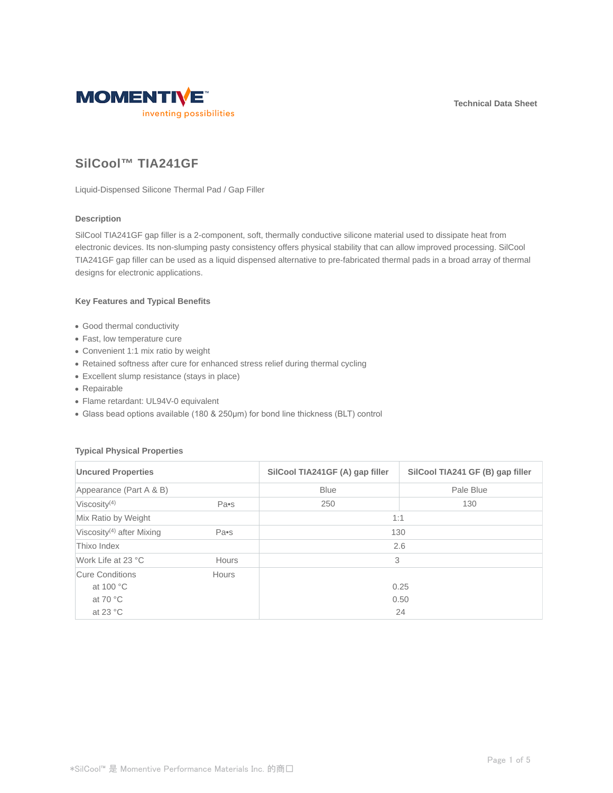**Technical Data Sheet**



# **SilCool™ TIA241GF**

Liquid-Dispensed Silicone Thermal Pad / Gap Filler

# **Description**

SilCool TIA241GF gap filler is a 2-component, soft, thermally conductive silicone material used to dissipate heat from electronic devices. Its non-slumping pasty consistency offers physical stability that can allow improved processing. SilCool TIA241GF gap filler can be used as a liquid dispensed alternative to pre-fabricated thermal pads in a broad array of thermal designs for electronic applications.

## **Key Features and Typical Benefits**

- Good thermal conductivity
- Fast, low temperature cure
- Convenient 1:1 mix ratio by weight
- Retained softness after cure for enhanced stress relief during thermal cycling
- Excellent slump resistance (stays in place)
- Repairable
- Flame retardant: UL94V-0 equivalent
- Glass bead options available (180 & 250μm) for bond line thickness (BLT) control

### **Typical Physical Properties**

| <b>Uncured Properties</b><br>Appearance (Part A & B) |              | SilCool TIA241GF (A) gap filler<br><b>Blue</b> | SilCool TIA241 GF (B) gap filler<br>Pale Blue |                          |
|------------------------------------------------------|--------------|------------------------------------------------|-----------------------------------------------|--------------------------|
|                                                      |              |                                                |                                               | Viscosity <sup>(4)</sup> |
| Mix Ratio by Weight                                  |              | 1:1                                            |                                               |                          |
| Viscosity <sup>(4)</sup> after Mixing                | Pa•s         | 130                                            |                                               |                          |
| Thixo Index                                          |              |                                                | 2.6                                           |                          |
| Work Life at 23 °C                                   | <b>Hours</b> | 3                                              |                                               |                          |
| Cure Conditions                                      | Hours        |                                                |                                               |                          |
| at 100 °C                                            |              |                                                | 0.25                                          |                          |
| at 70 $\degree$ C                                    |              |                                                | 0.50                                          |                          |
| at 23 $\degree$ C                                    |              |                                                | 24                                            |                          |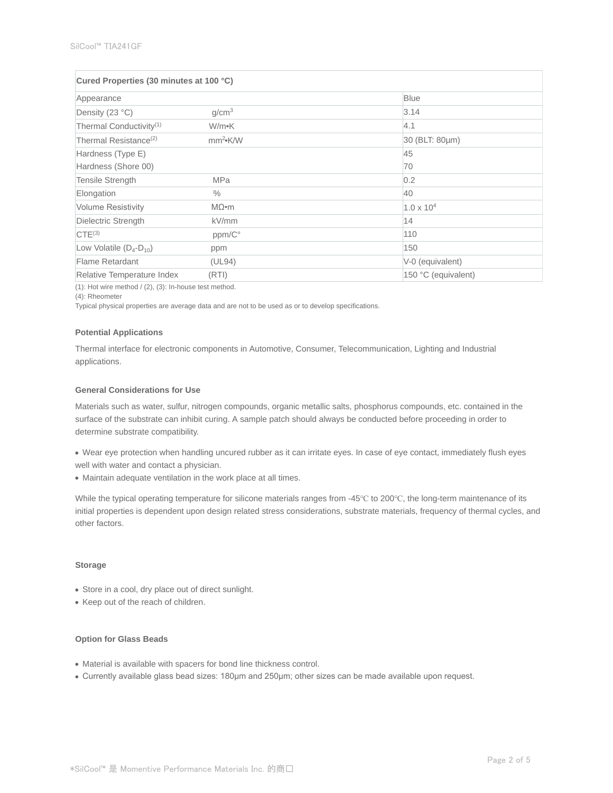| Cured Properties (30 minutes at 100 °C) |                            |                     |  |  |
|-----------------------------------------|----------------------------|---------------------|--|--|
| Appearance                              |                            | <b>Blue</b>         |  |  |
| Density (23 °C)                         | g/cm <sup>3</sup>          | 3.14                |  |  |
| Thermal Conductivity <sup>(1)</sup>     | W/m•K                      | 4.1                 |  |  |
| Thermal Resistance <sup>(2)</sup>       | mm <sup>2</sup> <b>K/W</b> | 30 (BLT: 80µm)      |  |  |
| Hardness (Type E)                       |                            | 45                  |  |  |
| Hardness (Shore 00)                     |                            | 70                  |  |  |
| Tensile Strength                        | <b>MPa</b>                 | 0.2                 |  |  |
| Elongation                              | $\frac{0}{0}$              | 40                  |  |  |
| <b>Volume Resistivity</b>               | $M\Omega$ •m               | $1.0 \times 10^{4}$ |  |  |
| Dielectric Strength                     | kV/mm                      | 14                  |  |  |
| $CTE^{(3)}$                             | ppm/C°                     | 110                 |  |  |
| Low Volatile $(D_4-D_{10})$             | ppm                        | 150                 |  |  |
| Flame Retardant                         | (UL94)                     | V-0 (equivalent)    |  |  |
| Relative Temperature Index              | (RTI)                      | 150 °C (equivalent) |  |  |

 $(1)$ : Hot wire method /  $(2)$ ,  $(3)$ : In-house test method.

(4): Rheometer

Typical physical properties are average data and are not to be used as or to develop specifications.

#### **Potential Applications**

Thermal interface for electronic components in Automotive, Consumer, Telecommunication, Lighting and Industrial applications.

## **General Considerations for Use**

Materials such as water, sulfur, nitrogen compounds, organic metallic salts, phosphorus compounds, etc. contained in the surface of the substrate can inhibit curing. A sample patch should always be conducted before proceeding in order to determine substrate compatibility.

- Wear eye protection when handling uncured rubber as it can irritate eyes. In case of eye contact, immediately flush eyes well with water and contact a physician.
- Maintain adequate ventilation in the work place at all times.

While the typical operating temperature for silicone materials ranges from -45℃ to 200℃, the long-term maintenance of its initial properties is dependent upon design related stress considerations, substrate materials, frequency of thermal cycles, and other factors.

#### **Storage**

- Store in a cool, dry place out of direct sunlight.
- Keep out of the reach of children.

# **Option for Glass Beads**

- Material is available with spacers for bond line thickness control.
- Currently available glass bead sizes: 180μm and 250μm; other sizes can be made available upon request.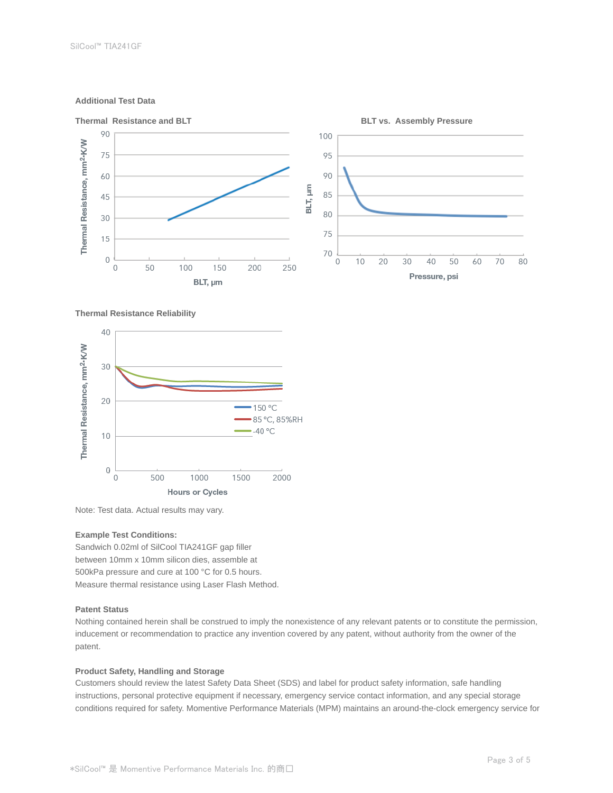## **Additional Test Data**



#### **Thermal Resistance Reliability**



Note: Test data. Actual results may vary.

#### **Example Test Conditions:**

Sandwich 0.02ml of SilCool TIA241GF gap filler between 10mm x 10mm silicon dies, assemble at 500kPa pressure and cure at 100 °C for 0.5 hours. Measure thermal resistance using Laser Flash Method.

## **Patent Status**

Nothing contained herein shall be construed to imply the nonexistence of any relevant patents or to constitute the permission, inducement or recommendation to practice any invention covered by any patent, without authority from the owner of the patent.

## **Product Safety, Handling and Storage**

Customers should review the latest Safety Data Sheet (SDS) and label for product safety information, safe handling instructions, personal protective equipment if necessary, emergency service contact information, and any special storage conditions required for safety. Momentive Performance Materials (MPM) maintains an around-the-clock emergency service for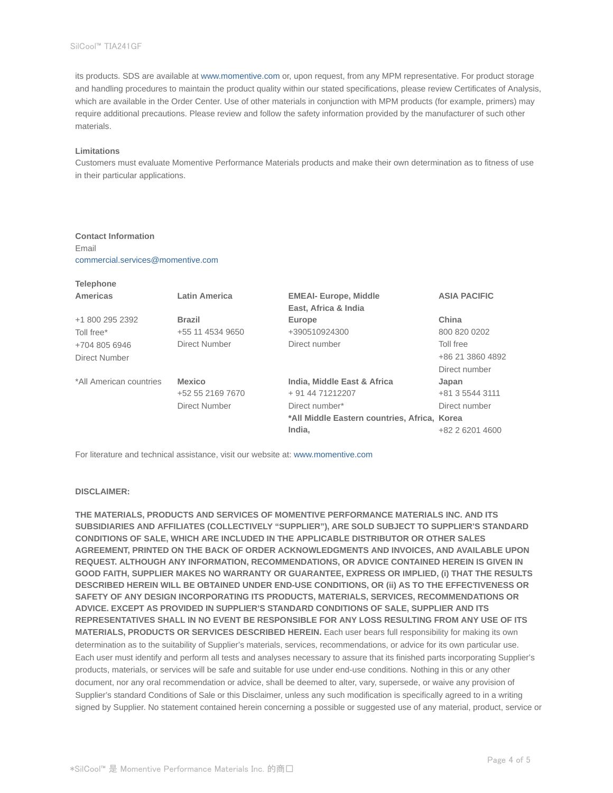its products. SDS are available at www.momentive.com or, upon request, from any MPM representative. For product storage and handling procedures to maintain the product quality within our stated specifications, please review Certificates of Analysis, which are available in the Order Center. Use of other materials in conjunction with MPM products (for example, primers) may require additional precautions. Please review and follow the safety information provided by the manufacturer of such other materials.

#### **Limitations**

**Telephone**

Customers must evaluate Momentive Performance Materials products and make their own determination as to fitness of use in their particular applications.

# **Contact Information**

Email commercial.services@momentive.com

| <b>Telephone</b>        |                      |                                              |                     |
|-------------------------|----------------------|----------------------------------------------|---------------------|
| Americas                | <b>Latin America</b> | <b>EMEAI- Europe, Middle</b>                 | <b>ASIA PACIFIC</b> |
|                         |                      | East, Africa & India                         |                     |
| +1 800 295 2392         | <b>Brazil</b>        | Europe                                       | China               |
| Toll free*              | +55 11 4534 9650     | +390510924300                                | 800 820 0202        |
| +704 805 6946           | Direct Number        | Direct number                                | Toll free           |
| Direct Number           |                      |                                              | +86 21 3860 4892    |
|                         |                      |                                              | Direct number       |
| *All American countries | <b>Mexico</b>        | India, Middle East & Africa                  | Japan               |
|                         | +52 55 2169 7670     | + 91 44 71212207                             | +81 3 5544 3111     |
|                         | Direct Number        | Direct number*                               | Direct number       |
|                         |                      | *All Middle Eastern countries, Africa, Korea |                     |
|                         |                      | India.                                       | +82 2 6201 4600     |

For literature and technical assistance, visit our website at: www.momentive.com

#### **DISCLAIMER:**

**THE MATERIALS, PRODUCTS AND SERVICES OF MOMENTIVE PERFORMANCE MATERIALS INC. AND ITS SUBSIDIARIES AND AFFILIATES (COLLECTIVELY "SUPPLIER"), ARE SOLD SUBJECT TO SUPPLIER'S STANDARD CONDITIONS OF SALE, WHICH ARE INCLUDED IN THE APPLICABLE DISTRIBUTOR OR OTHER SALES AGREEMENT, PRINTED ON THE BACK OF ORDER ACKNOWLEDGMENTS AND INVOICES, AND AVAILABLE UPON REQUEST. ALTHOUGH ANY INFORMATION, RECOMMENDATIONS, OR ADVICE CONTAINED HEREIN IS GIVEN IN GOOD FAITH, SUPPLIER MAKES NO WARRANTY OR GUARANTEE, EXPRESS OR IMPLIED, (i) THAT THE RESULTS DESCRIBED HEREIN WILL BE OBTAINED UNDER END-USE CONDITIONS, OR (ii) AS TO THE EFFECTIVENESS OR SAFETY OF ANY DESIGN INCORPORATING ITS PRODUCTS, MATERIALS, SERVICES, RECOMMENDATIONS OR ADVICE. EXCEPT AS PROVIDED IN SUPPLIER'S STANDARD CONDITIONS OF SALE, SUPPLIER AND ITS REPRESENTATIVES SHALL IN NO EVENT BE RESPONSIBLE FOR ANY LOSS RESULTING FROM ANY USE OF ITS MATERIALS, PRODUCTS OR SERVICES DESCRIBED HEREIN.** Each user bears full responsibility for making its own determination as to the suitability of Supplier's materials, services, recommendations, or advice for its own particular use. Each user must identify and perform all tests and analyses necessary to assure that its finished parts incorporating Supplier's products, materials, or services will be safe and suitable for use under end-use conditions. Nothing in this or any other document, nor any oral recommendation or advice, shall be deemed to alter, vary, supersede, or waive any provision of Supplier's standard Conditions of Sale or this Disclaimer, unless any such modification is specifically agreed to in a writing signed by Supplier. No statement contained herein concerning a possible or suggested use of any material, product, service or